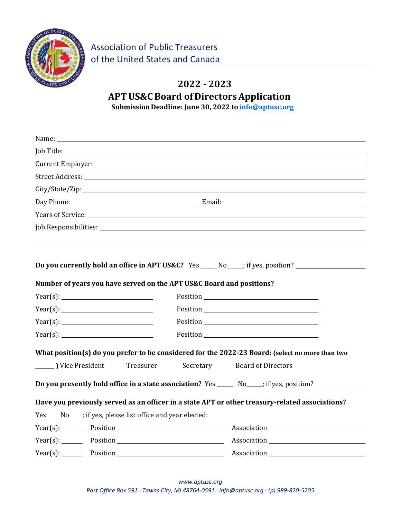

## **2022 ‐ 2023 APTUS&CBoard of DirectorsApplication Submission Deadline: June 30, 2022 to [info@aptusc.org](mailto:info@aptusc.org)**

| Name: $\frac{1}{2}$                                                                                                                                                                                                            |                           |  |  |  |
|--------------------------------------------------------------------------------------------------------------------------------------------------------------------------------------------------------------------------------|---------------------------|--|--|--|
|                                                                                                                                                                                                                                |                           |  |  |  |
|                                                                                                                                                                                                                                |                           |  |  |  |
|                                                                                                                                                                                                                                |                           |  |  |  |
|                                                                                                                                                                                                                                |                           |  |  |  |
|                                                                                                                                                                                                                                |                           |  |  |  |
| Years of Service: New York Service: New York Service: New York Service: New York Service: New York Service: New York Service: New York Service: New York Service: New York Service: New York Service: New York Service: New Yo |                           |  |  |  |
|                                                                                                                                                                                                                                |                           |  |  |  |
|                                                                                                                                                                                                                                |                           |  |  |  |
| Do you currently hold an office in APT US&C? Yes _____ No____; if yes, position? ___________________<br>Number of years you have served on the APT US&C Board and positions?                                                   |                           |  |  |  |
| Year(s):                                                                                                                                                                                                                       |                           |  |  |  |
|                                                                                                                                                                                                                                |                           |  |  |  |
|                                                                                                                                                                                                                                |                           |  |  |  |
|                                                                                                                                                                                                                                |                           |  |  |  |
| What position(s) do you prefer to be considered for the 2022-23 Board: (select no more than two                                                                                                                                |                           |  |  |  |
| Vice President<br>Secretary<br>Treasurer                                                                                                                                                                                       | <b>Board of Directors</b> |  |  |  |
| Do you presently hold office in a state association? Yes ________ No_____; if yes, position? _______                                                                                                                           |                           |  |  |  |
| Have you previously served as an officer in a state APT or other treasury-related associations?                                                                                                                                |                           |  |  |  |
| ; if yes, please list office and year elected:<br>Yes<br>No                                                                                                                                                                    |                           |  |  |  |
|                                                                                                                                                                                                                                |                           |  |  |  |
| Year(s): Position Position Resolution Position Position                                                                                                                                                                        |                           |  |  |  |
| Year(s): Position Position Association Position                                                                                                                                                                                |                           |  |  |  |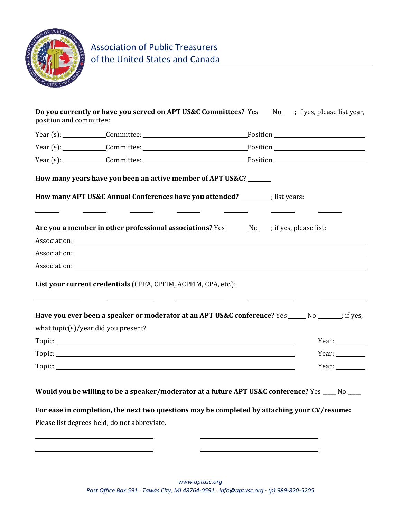

| Do you currently or have you served on APT US&C Committees? Yes ___ No ___; if yes, please list year,<br>position and committee:                                                                                                                                                                              |                                                     |  |              |
|---------------------------------------------------------------------------------------------------------------------------------------------------------------------------------------------------------------------------------------------------------------------------------------------------------------|-----------------------------------------------------|--|--------------|
|                                                                                                                                                                                                                                                                                                               |                                                     |  |              |
|                                                                                                                                                                                                                                                                                                               |                                                     |  |              |
| Year (s): Committee: Committee: Position                                                                                                                                                                                                                                                                      |                                                     |  |              |
| How many years have you been an active member of APT US&C?                                                                                                                                                                                                                                                    |                                                     |  |              |
| How many APT US&C Annual Conferences have you attended? ________; list years:<br><u> 1999 - Andrea State Barbara, político e a continente de la continental de la continental de la continental d</u><br><u> 1989 - Jan Store, prima po</u>                                                                   |                                                     |  |              |
| Are you a member in other professional associations? Yes _______ No ____; if yes, please list:                                                                                                                                                                                                                |                                                     |  |              |
|                                                                                                                                                                                                                                                                                                               |                                                     |  |              |
|                                                                                                                                                                                                                                                                                                               |                                                     |  |              |
|                                                                                                                                                                                                                                                                                                               |                                                     |  |              |
| List your current credentials (CPFA, CPFIM, ACPFIM, CPA, etc.):<br>$\overline{\phantom{a}}$ . The contract of the contract of the contract of the contract of the contract of the contract of the contract of the contract of the contract of the contract of the contract of the contract of the contract of | the contract of the contract of the contract of the |  |              |
| Have you ever been a speaker or moderator at an APT US&C conference? Yes ______ No _______; if yes,                                                                                                                                                                                                           |                                                     |  |              |
| what topic(s)/year did you present?                                                                                                                                                                                                                                                                           |                                                     |  |              |
|                                                                                                                                                                                                                                                                                                               |                                                     |  | Year: $\_\_$ |
|                                                                                                                                                                                                                                                                                                               |                                                     |  | Year: $\_\_$ |
|                                                                                                                                                                                                                                                                                                               |                                                     |  | Year: $\_\_$ |
| Would you be willing to be a speaker/moderator at a future APT US&C conference? Yes ____ No ___                                                                                                                                                                                                               |                                                     |  |              |
| For ease in completion, the next two questions may be completed by attaching your CV/resume:                                                                                                                                                                                                                  |                                                     |  |              |
| Please list degrees held; do not abbreviate.                                                                                                                                                                                                                                                                  |                                                     |  |              |
|                                                                                                                                                                                                                                                                                                               |                                                     |  |              |
|                                                                                                                                                                                                                                                                                                               |                                                     |  |              |
|                                                                                                                                                                                                                                                                                                               |                                                     |  |              |